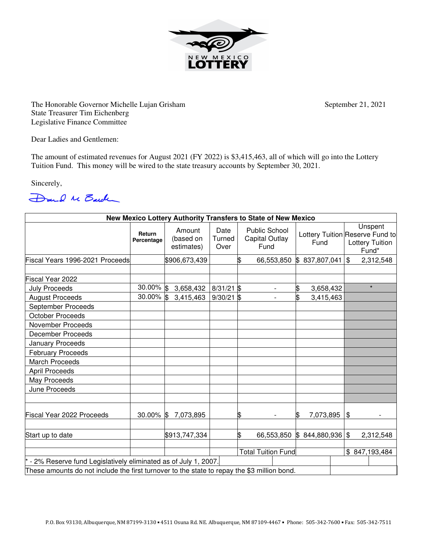

The Honorable Governor Michelle Lujan Grisham September 21, 2021 State Treasurer Tim Eichenberg Legislative Finance Committee

Dear Ladies and Gentlemen:

The amount of estimated revenues for August 2021 (FY 2022) is \$3,415,463, all of which will go into the Lottery Tuition Fund. This money will be wired to the state treasury accounts by September 30, 2021.

Sincerely,



| New Mexico Lottery Authority Transfers to State of New Mexico                               |                      |                                   |                        |    |                                                       |                 |  |                                                                               |           |
|---------------------------------------------------------------------------------------------|----------------------|-----------------------------------|------------------------|----|-------------------------------------------------------|-----------------|--|-------------------------------------------------------------------------------|-----------|
|                                                                                             | Return<br>Percentage | Amount<br>(based on<br>estimates) | Date<br>Turned<br>Over |    | <b>Public School</b><br><b>Capital Outlay</b><br>Fund | Fund            |  | Unspent<br>Lottery Tuition Reserve Fund to<br><b>Lottery Tuition</b><br>Fund* |           |
| Fiscal Years 1996-2021 Proceeds                                                             |                      | \$906,673,439                     |                        | S  | 66,553,850                                            | \$837,807,041   |  | $\mathfrak{S}$                                                                | 2,312,548 |
| Fiscal Year 2022                                                                            |                      |                                   |                        |    |                                                       |                 |  |                                                                               |           |
| <b>July Proceeds</b>                                                                        | 30.00% \$            | 3,658,432                         | $8/31/21$ \$           |    |                                                       | \$<br>3,658,432 |  |                                                                               | $\star$   |
| <b>August Proceeds</b>                                                                      | $30.00\%$ \$         | 3,415,463                         | $9/30/21$ \$           |    |                                                       | \$<br>3,415,463 |  |                                                                               |           |
| September Proceeds                                                                          |                      |                                   |                        |    |                                                       |                 |  |                                                                               |           |
| <b>October Proceeds</b>                                                                     |                      |                                   |                        |    |                                                       |                 |  |                                                                               |           |
| <b>November Proceeds</b>                                                                    |                      |                                   |                        |    |                                                       |                 |  |                                                                               |           |
| <b>December Proceeds</b>                                                                    |                      |                                   |                        |    |                                                       |                 |  |                                                                               |           |
| January Proceeds                                                                            |                      |                                   |                        |    |                                                       |                 |  |                                                                               |           |
| <b>February Proceeds</b>                                                                    |                      |                                   |                        |    |                                                       |                 |  |                                                                               |           |
| <b>March Proceeds</b>                                                                       |                      |                                   |                        |    |                                                       |                 |  |                                                                               |           |
| <b>April Proceeds</b>                                                                       |                      |                                   |                        |    |                                                       |                 |  |                                                                               |           |
| May Proceeds                                                                                |                      |                                   |                        |    |                                                       |                 |  |                                                                               |           |
| June Proceeds                                                                               |                      |                                   |                        |    |                                                       |                 |  |                                                                               |           |
| Fiscal Year 2022 Proceeds                                                                   | 30.00% \$            | 7,073,895                         |                        | \$ |                                                       | 7,073,895<br>\$ |  | \$                                                                            |           |
| Start up to date                                                                            |                      | \$913,747,334                     |                        | \$ | 66,553,850                                            | \$844,880,936   |  | \$                                                                            | 2,312,548 |
|                                                                                             |                      |                                   |                        |    | <b>Total Tuition Fund</b>                             |                 |  | \$847,193,484                                                                 |           |
| - 2% Reserve fund Legislatively eliminated as of July 1, 2007.                              |                      |                                   |                        |    |                                                       |                 |  |                                                                               |           |
| These amounts do not include the first turnover to the state to repay the \$3 million bond. |                      |                                   |                        |    |                                                       |                 |  |                                                                               |           |